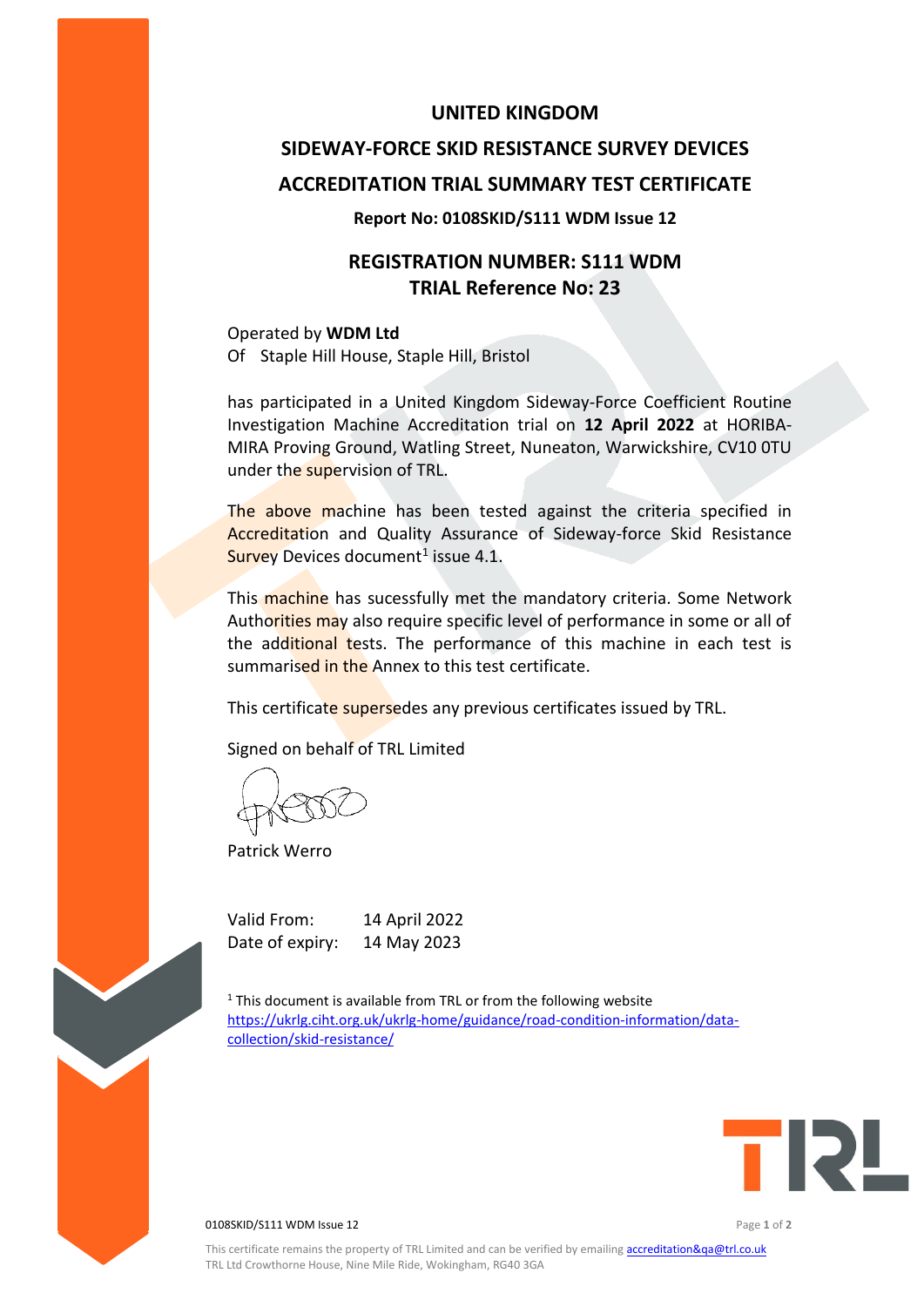# **UNITED KINGDOM**

# **SIDEWAY-FORCE SKID RESISTANCE SURVEY DEVICES ACCREDITATION TRIAL SUMMARY TEST CERTIFICATE**

### **Report No: 0108SKID/S111 WDM Issue 12**

# **REGISTRATION NUMBER: S111 WDM TRIAL Reference No: 23**

Operated by **WDM Ltd** Of Staple Hill House, Staple Hill, Bristol

has participated in a United Kingdom Sideway-Force Coefficient Routine Investigation Machine Accreditation trial on **12 April 2022** at HORIBA-MIRA Proving Ground, Watling Street, Nuneaton, Warwickshire, CV10 0TU under the supervision of TRL.

The above machine has been tested against the criteria specified in Accreditation and Quality Assurance of Sideway-force Skid Resistance Survey Devices document<sup>1</sup> issue 4.1.

This machine has sucessfully met the mandatory criteria. Some Network Authorities may also require specific level of performance in some or all of the additional tests. The performance of this machine in each test is summarised in the Annex to this test certificate.

This certificate supersedes any previous certificates issued by TRL.

Signed on behalf of TRL Limited

Patrick Werro

Valid From: 14 April 2022 Date of expiry: 14 May 2023

 $1$ <sup>1</sup> This document is available from TRL or from the following website [https://ukrlg.ciht.org.uk/ukrlg-home/guidance/road-condition-information/data](https://ukrlg.ciht.org.uk/ukrlg-home/guidance/road-condition-information/data-collection/skid-resistance/)[collection/skid-resistance/](https://ukrlg.ciht.org.uk/ukrlg-home/guidance/road-condition-information/data-collection/skid-resistance/)



**0108SKID/S111 WDM Issue 12 Page 1 of 2 Page 1 of 2 Page 1 of 2**